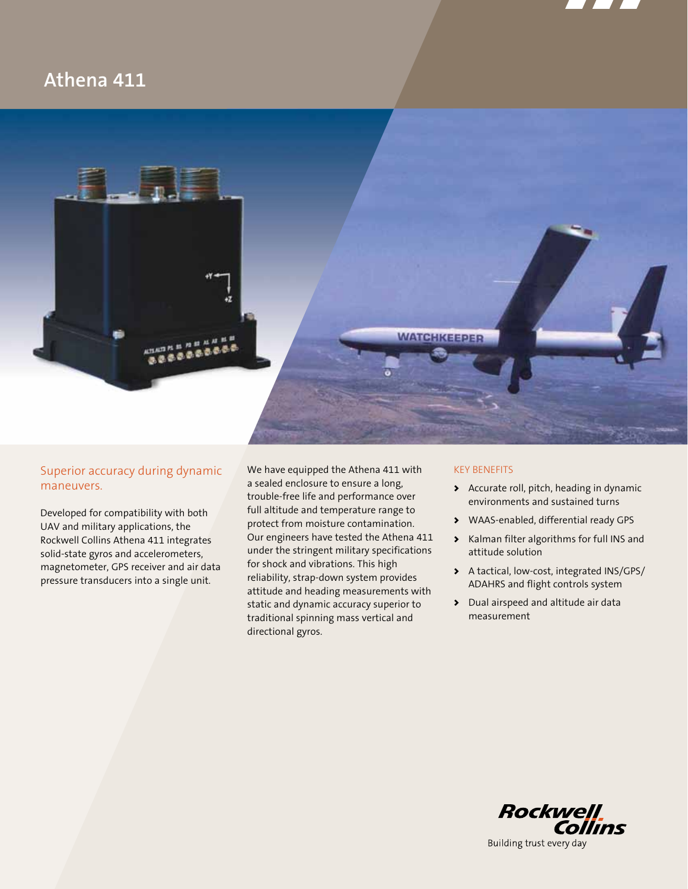

# **Athena 411**



## Superior accuracy during dynamic maneuvers.

Developed for compatibility with both UAV and military applications, the Rockwell Collins Athena 411 integrates solid-state gyros and accelerometers, magnetometer, GPS receiver and air data pressure transducers into a single unit.

We have equipped the Athena 411 with a sealed enclosure to ensure a long, trouble-free life and performance over full altitude and temperature range to protect from moisture contamination. Our engineers have tested the Athena 411 under the stringent military specifications for shock and vibrations. This high reliability, strap-down system provides attitude and heading measurements with static and dynamic accuracy superior to traditional spinning mass vertical and directional gyros.

### KEY BENEFITS

- > Accurate roll, pitch, heading in dynamic environments and sustained turns
- > WAAS-enabled, differential ready GPS
- > Kalman filter algorithms for full INS and attitude solution
- > A tactical, low-cost, integrated INS/GPS/ ADAHRS and flight controls system
- > Dual airspeed and altitude air data measurement